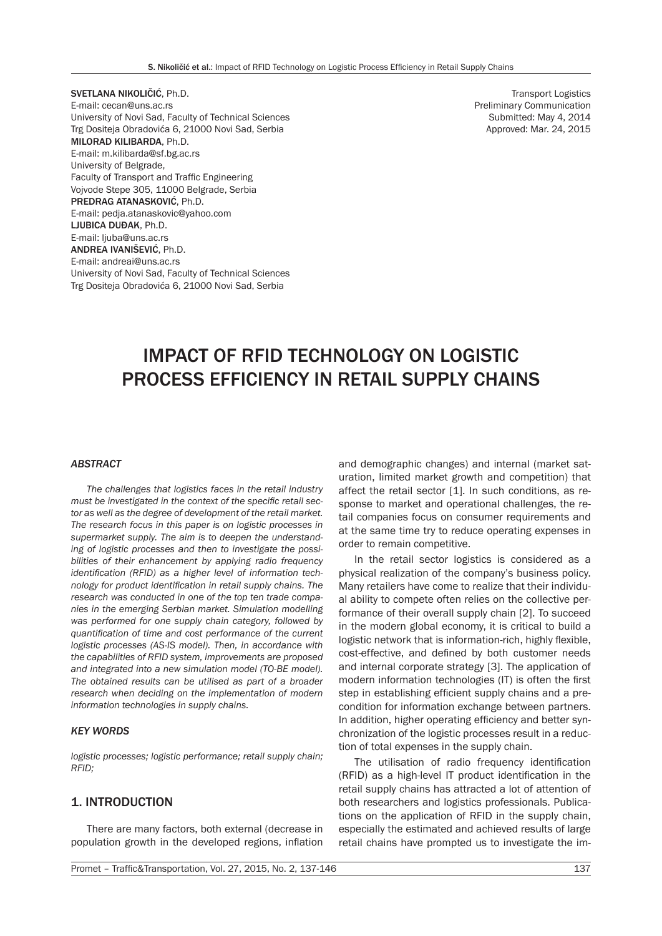SVETLANA NIKOLIČIĆ, Ph.D. E-mail: cecan@uns.ac.rs University of Novi Sad, Faculty of Technical Sciences Trg Dositeja Obradovića 6, 21000 Novi Sad, Serbia MILORAD KILIBARDA, Ph.D. E-mail: m.kilibarda@sf.bg.ac.rs University of Belgrade, Faculty of Transport and Traffic Engineering Vojvode Stepe 305, 11000 Belgrade, Serbia PREDRAG ATANASKOVIĆ, Ph.D. E-mail: pedja.atanaskovic@yahoo.com LJUBICA DUĐAK, Ph.D. E-mail: ljuba@uns.ac.rs ANDREA IVANIŠEVIĆ, Ph.D. E-mail: andreai@uns.ac.rs University of Novi Sad, Faculty of Technical Sciences Trg Dositeja Obradovića 6, 21000 Novi Sad, Serbia

Transport Logistics Preliminary Communication Submitted: May 4, 2014 Approved: Mar. 24, 2015

# IMPACT OF RFID TECHNOLOGY ON LOGISTIC PROCESS EFFICIENCY IN RETAIL SUPPLY CHAINS

#### *ABSTRACT*

*The challenges that logistics faces in the retail industry must be investigated in the context of the specific retail sector as well as the degree of development of the retail market. The research focus in this paper is on logistic processes in supermarket supply. The aim is to deepen the understanding of logistic processes and then to investigate the possibilities of their enhancement by applying radio frequency identification (RFID) as a higher level of information technology for product identification in retail supply chains. The research was conducted in one of the top ten trade companies in the emerging Serbian market. Simulation modelling was performed for one supply chain category, followed by quantification of time and cost performance of the current logistic processes (AS-IS model). Then, in accordance with the capabilities of RFID system, improvements are proposed and integrated into a new simulation model (TO-BE model). The obtained results can be utilised as part of a broader research when deciding on the implementation of modern information technologies in supply chains.*

#### *KEY WORDS*

*logistic processes; logistic performance; retail supply chain; RFID;*

### 1. INTRODUCTION

There are many factors, both external (decrease in population growth in the developed regions, inflation and demographic changes) and internal (market saturation, limited market growth and competition) that affect the retail sector [1]. In such conditions, as response to market and operational challenges, the retail companies focus on consumer requirements and at the same time try to reduce operating expenses in order to remain competitive.

In the retail sector logistics is considered as a physical realization of the company's business policy. Many retailers have come to realize that their individual ability to compete often relies on the collective performance of their overall supply chain [2]. To succeed in the modern global economy, it is critical to build a logistic network that is information-rich, highly flexible, cost-effective, and defined by both customer needs and internal corporate strategy [3]. The application of modern information technologies (IT) is often the first step in establishing efficient supply chains and a precondition for information exchange between partners. In addition, higher operating efficiency and better synchronization of the logistic processes result in a reduction of total expenses in the supply chain.

The utilisation of radio frequency identification (RFID) as a high-level IT product identification in the retail supply chains has attracted a lot of attention of both researchers and logistics professionals. Publications on the application of RFID in the supply chain, especially the estimated and achieved results of large retail chains have prompted us to investigate the im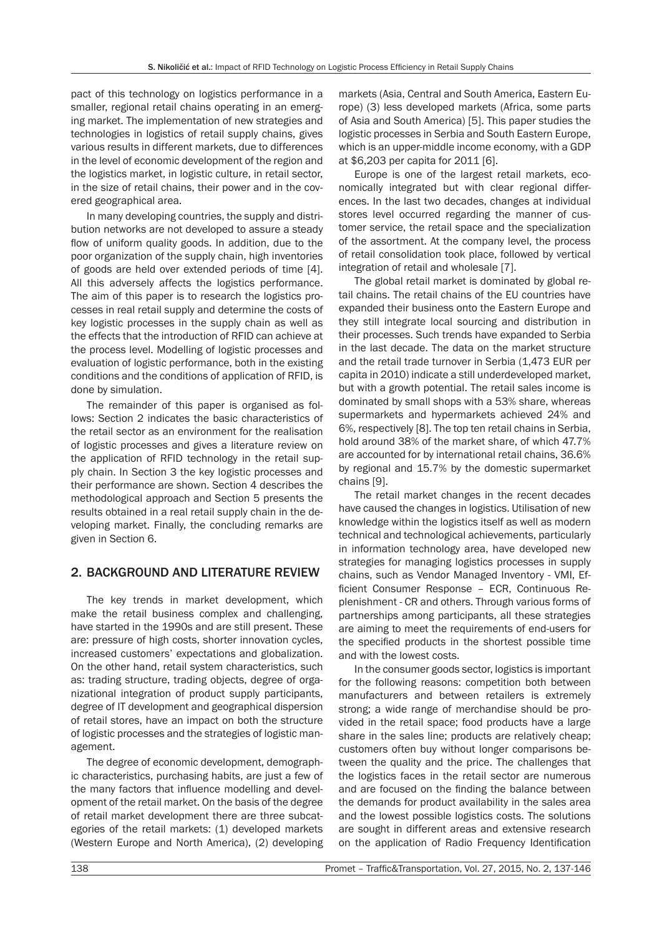pact of this technology on logistics performance in a smaller, regional retail chains operating in an emerging market. The implementation of new strategies and technologies in logistics of retail supply chains, gives various results in different markets, due to differences in the level of economic development of the region and the logistics market, in logistic culture, in retail sector, in the size of retail chains, their power and in the covered geographical area.

In many developing countries, the supply and distribution networks are not developed to assure a steady flow of uniform quality goods. In addition, due to the poor organization of the supply chain, high inventories of goods are held over extended periods of time [4]. All this adversely affects the logistics performance. The aim of this paper is to research the logistics processes in real retail supply and determine the costs of key logistic processes in the supply chain as well as the effects that the introduction of RFID can achieve at the process level. Modelling of logistic processes and evaluation of logistic performance, both in the existing conditions and the conditions of application of RFID, is done by simulation.

The remainder of this paper is organised as follows: Section 2 indicates the basic characteristics of the retail sector as an environment for the realisation of logistic processes and gives a literature review on the application of RFID technology in the retail supply chain. In Section 3 the key logistic processes and their performance are shown. Section 4 describes the methodological approach and Section 5 presents the results obtained in a real retail supply chain in the developing market. Finally, the concluding remarks are given in Section 6.

## 2. BACKGROUND AND LITERATURE REVIEW

The key trends in market development, which make the retail business complex and challenging, have started in the 1990s and are still present. These are: pressure of high costs, shorter innovation cycles, increased customers' expectations and globalization. On the other hand, retail system characteristics, such as: trading structure, trading objects, degree of organizational integration of product supply participants, degree of IT development and geographical dispersion of retail stores, have an impact on both the structure of logistic processes and the strategies of logistic management.

The degree of economic development, demographic characteristics, purchasing habits, are just a few of the many factors that influence modelling and development of the retail market. On the basis of the degree of retail market development there are three subcategories of the retail markets: (1) developed markets (Western Europe and North America), (2) developing

markets (Asia, Central and South America, Eastern Europe) (3) less developed markets (Africa, some parts of Asia and South America) [5]. This paper studies the logistic processes in Serbia and South Eastern Europe, which is an upper-middle income economy, with a GDP at \$6,203 per capita for 2011 [6].

Europe is one of the largest retail markets, economically integrated but with clear regional differences. In the last two decades, changes at individual stores level occurred regarding the manner of customer service, the retail space and the specialization of the assortment. At the company level, the process of retail consolidation took place, followed by vertical integration of retail and wholesale [7].

The global retail market is dominated by global retail chains. The retail chains of the EU countries have expanded their business onto the Eastern Europe and they still integrate local sourcing and distribution in their processes. Such trends have expanded to Serbia in the last decade. The data on the market structure and the retail trade turnover in Serbia (1,473 EUR per capita in 2010) indicate a still underdeveloped market, but with a growth potential. The retail sales income is dominated by small shops with a 53% share, whereas supermarkets and hypermarkets achieved 24% and 6%, respectively [8]. The top ten retail chains in Serbia, hold around 38% of the market share, of which 47.7% are accounted for by international retail chains, 36.6% by regional and 15.7% by the domestic supermarket chains [9].

The retail market changes in the recent decades have caused the changes in logistics. Utilisation of new knowledge within the logistics itself as well as modern technical and technological achievements, particularly in information technology area, have developed new strategies for managing logistics processes in supply chains, such as Vendor Managed Inventory - VMI, Efficient Consumer Response – ECR, Continuous Replenishment - CR and others. Through various forms of partnerships among participants, all these strategies are aiming to meet the requirements of end-users for the specified products in the shortest possible time and with the lowest costs.

In the consumer goods sector, logistics is important for the following reasons: competition both between manufacturers and between retailers is extremely strong; a wide range of merchandise should be provided in the retail space; food products have a large share in the sales line; products are relatively cheap; customers often buy without longer comparisons between the quality and the price. The challenges that the logistics faces in the retail sector are numerous and are focused on the finding the balance between the demands for product availability in the sales area and the lowest possible logistics costs. The solutions are sought in different areas and extensive research on the application of Radio Frequency Identification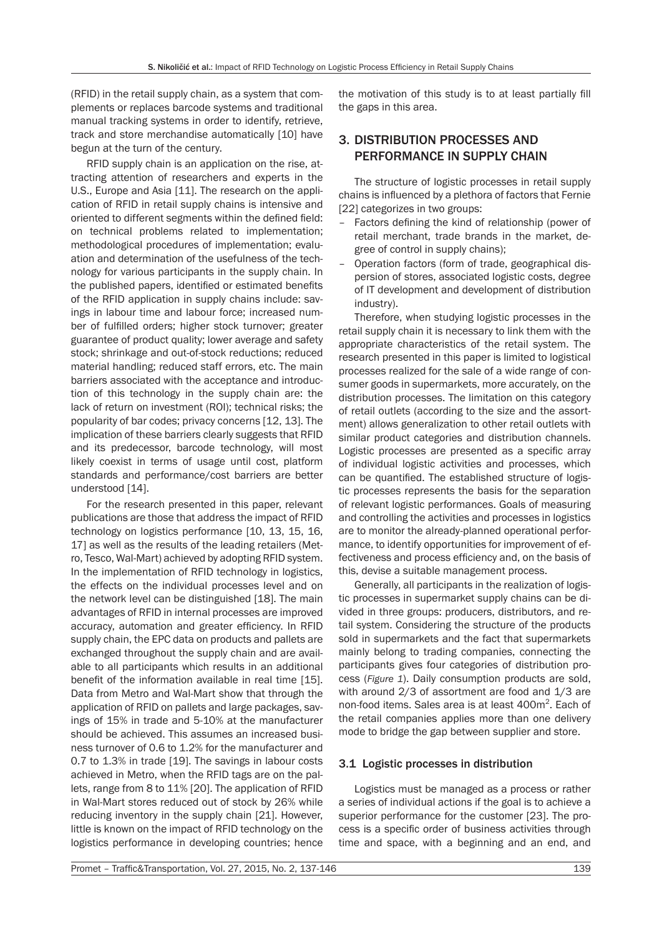(RFID) in the retail supply chain, as a system that complements or replaces barcode systems and traditional manual tracking systems in order to identify, retrieve, track and store merchandise automatically [10] have begun at the turn of the century.

RFID supply chain is an application on the rise, attracting attention of researchers and experts in the U.S., Europe and Asia [11]. The research on the application of RFID in retail supply chains is intensive and oriented to different segments within the defined field: on technical problems related to implementation; methodological procedures of implementation; evaluation and determination of the usefulness of the technology for various participants in the supply chain. In the published papers, identified or estimated benefits of the RFID application in supply chains include: savings in labour time and labour force; increased number of fulfilled orders; higher stock turnover; greater guarantee of product quality; lower average and safety stock; shrinkage and out-of-stock reductions; reduced material handling; reduced staff errors, etc. The main barriers associated with the acceptance and introduction of this technology in the supply chain are: the lack of return on investment (ROI); technical risks; the popularity of bar codes; privacy concerns [12, 13]. The implication of these barriers clearly suggests that RFID and its predecessor, barcode technology, will most likely coexist in terms of usage until cost, platform standards and performance/cost barriers are better understood [14].

For the research presented in this paper, relevant publications are those that address the impact of RFID technology on logistics performance [10, 13, 15, 16, 17] as well as the results of the leading retailers (Metro, Tesco, Wal-Mart) achieved by adopting RFID system. In the implementation of RFID technology in logistics, the effects on the individual processes level and on the network level can be distinguished [18]. The main advantages of RFID in internal processes are improved accuracy, automation and greater efficiency. In RFID supply chain, the EPC data on products and pallets are exchanged throughout the supply chain and are available to all participants which results in an additional benefit of the information available in real time [15]. Data from Metro and Wal-Mart show that through the application of RFID on pallets and large packages, savings of 15% in trade and 5-10% at the manufacturer should be achieved. This assumes an increased business turnover of 0.6 to 1.2% for the manufacturer and 0.7 to 1.3% in trade [19]. The savings in labour costs achieved in Metro, when the RFID tags are on the pallets, range from 8 to 11% [20]. The application of RFID in Wal-Mart stores reduced out of stock by 26% while reducing inventory in the supply chain [21]. However, little is known on the impact of RFID technology on the logistics performance in developing countries; hence

the motivation of this study is to at least partially fill the gaps in this area.

# 3. DISTRIBUTION PROCESSES AND PERFORMANCE IN SUPPLY CHAIN

The structure of logistic processes in retail supply chains is influenced by a plethora of factors that Fernie [22] categorizes in two groups:

- Factors defining the kind of relationship (power of retail merchant, trade brands in the market, degree of control in supply chains);
- Operation factors (form of trade, geographical dispersion of stores, associated logistic costs, degree of IT development and development of distribution industry).

Therefore, when studying logistic processes in the retail supply chain it is necessary to link them with the appropriate characteristics of the retail system. The research presented in this paper is limited to logistical processes realized for the sale of a wide range of consumer goods in supermarkets, more accurately, on the distribution processes. The limitation on this category of retail outlets (according to the size and the assortment) allows generalization to other retail outlets with similar product categories and distribution channels. Logistic processes are presented as a specific array of individual logistic activities and processes, which can be quantified. The established structure of logistic processes represents the basis for the separation of relevant logistic performances. Goals of measuring and controlling the activities and processes in logistics are to monitor the already-planned operational performance, to identify opportunities for improvement of effectiveness and process efficiency and, on the basis of this, devise a suitable management process.

Generally, all participants in the realization of logistic processes in supermarket supply chains can be divided in three groups: producers, distributors, and retail system. Considering the structure of the products sold in supermarkets and the fact that supermarkets mainly belong to trading companies, connecting the participants gives four categories of distribution process (*Figure 1*). Daily consumption products are sold, with around 2/3 of assortment are food and 1/3 are non-food items. Sales area is at least 400m<sup>2</sup>. Each of the retail companies applies more than one delivery mode to bridge the gap between supplier and store.

#### 3.1 Logistic processes in distribution

Logistics must be managed as a process or rather a series of individual actions if the goal is to achieve a superior performance for the customer [23]. The process is a specific order of business activities through time and space, with a beginning and an end, and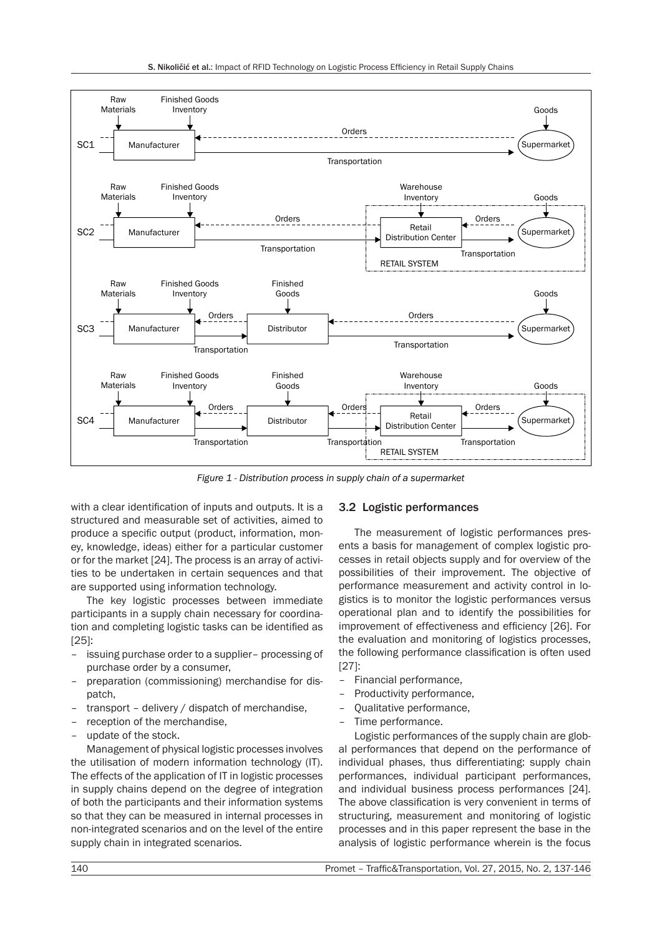

*Figure 1 - Distribution process in supply chain of a supermarket*

with a clear identification of inputs and outputs. It is a structured and measurable set of activities, aimed to produce a specific output (product, information, money, knowledge, ideas) either for a particular customer or for the market [24]. The process is an array of activities to be undertaken in certain sequences and that are supported using information technology.

The key logistic processes between immediate participants in a supply chain necessary for coordination and completing logistic tasks can be identified as [25]:

- issuing purchase order to a supplier– processing of purchase order by a consumer,
- preparation (commissioning) merchandise for dispatch,
- transport delivery / dispatch of merchandise,
- reception of the merchandise.
- update of the stock.

Management of physical logistic processes involves the utilisation of modern information technology (IT). The effects of the application of IT in logistic processes in supply chains depend on the degree of integration of both the participants and their information systems so that they can be measured in internal processes in non-integrated scenarios and on the level of the entire supply chain in integrated scenarios.

#### 3.2 Logistic performances

The measurement of logistic performances presents a basis for management of complex logistic processes in retail objects supply and for overview of the possibilities of their improvement. The objective of performance measurement and activity control in logistics is to monitor the logistic performances versus operational plan and to identify the possibilities for improvement of effectiveness and efficiency [26]. For the evaluation and monitoring of logistics processes, the following performance classification is often used [27]:

- Financial performance,
- Productivity performance,
- Qualitative performance,
- Time performance.

Logistic performances of the supply chain are global performances that depend on the performance of individual phases, thus differentiating: supply chain performances, individual participant performances, and individual business process performances [24]. The above classification is very convenient in terms of structuring, measurement and monitoring of logistic processes and in this paper represent the base in the analysis of logistic performance wherein is the focus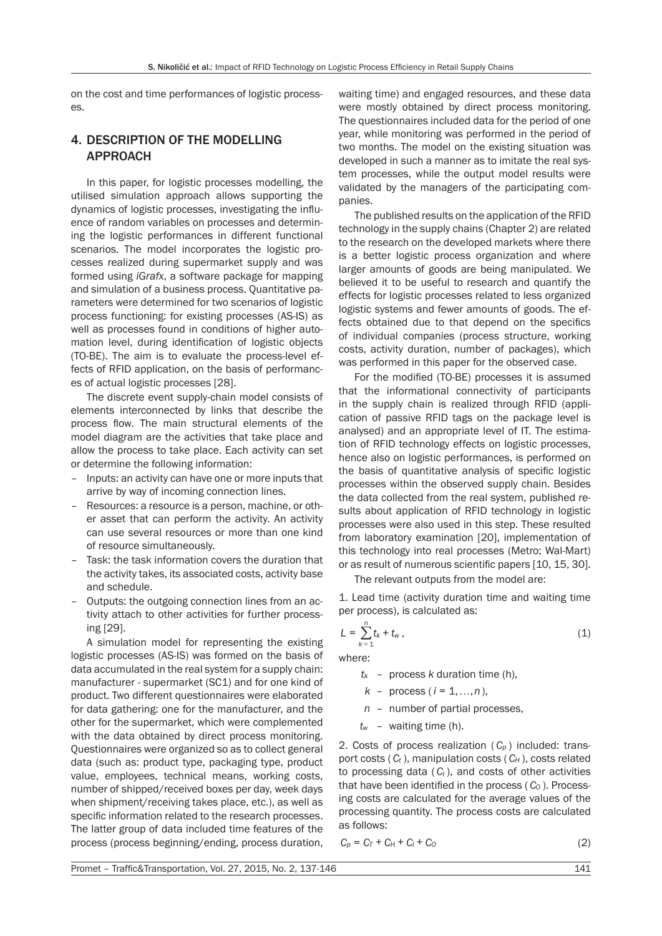on the cost and time performances of logistic processes.

# 4. DESCRIPTION OF THE MODELLING APPROACH

In this paper, for logistic processes modelling, the utilised simulation approach allows supporting the dynamics of logistic processes, investigating the influence of random variables on processes and determining the logistic performances in different functional scenarios. The model incorporates the logistic processes realized during supermarket supply and was formed using *iGrafx*, a software package for mapping and simulation of a business process. Quantitative parameters were determined for two scenarios of logistic process functioning: for existing processes (AS-IS) as well as processes found in conditions of higher automation level, during identification of logistic objects (TO-BE). The aim is to evaluate the process-level effects of RFID application, on the basis of performances of actual logistic processes [28].

The discrete event supply-chain model consists of elements interconnected by links that describe the process flow. The main structural elements of the model diagram are the activities that take place and allow the process to take place. Each activity can set or determine the following information:

- Inputs: an activity can have one or more inputs that arrive by way of incoming connection lines.
- Resources: a resource is a person, machine, or other asset that can perform the activity. An activity can use several resources or more than one kind of resource simultaneously.
- Task: the task information covers the duration that the activity takes, its associated costs, activity base and schedule.
- Outputs: the outgoing connection lines from an activity attach to other activities for further processing [29].

A simulation model for representing the existing logistic processes (AS-IS) was formed on the basis of data accumulated in the real system for a supply chain: manufacturer - supermarket (SC1) and for one kind of product. Two different questionnaires were elaborated for data gathering: one for the manufacturer, and the other for the supermarket, which were complemented with the data obtained by direct process monitoring. Questionnaires were organized so as to collect general data (such as: product type, packaging type, product value, employees, technical means, working costs, number of shipped/received boxes per day, week days when shipment/receiving takes place, etc.), as well as specific information related to the research processes. The latter group of data included time features of the process (process beginning/ending, process duration,

waiting time) and engaged resources, and these data were mostly obtained by direct process monitoring. The questionnaires included data for the period of one year, while monitoring was performed in the period of two months. The model on the existing situation was developed in such a manner as to imitate the real system processes, while the output model results were validated by the managers of the participating companies.

The published results on the application of the RFID technology in the supply chains (Chapter 2) are related to the research on the developed markets where there is a better logistic process organization and where larger amounts of goods are being manipulated. We believed it to be useful to research and quantify the effects for logistic processes related to less organized logistic systems and fewer amounts of goods. The effects obtained due to that depend on the specifics of individual companies (process structure, working costs, activity duration, number of packages), which was performed in this paper for the observed case.

For the modified (TO-BE) processes it is assumed that the informational connectivity of participants in the supply chain is realized through RFID (application of passive RFID tags on the package level is analysed) and an appropriate level of IT. The estimation of RFID technology effects on logistic processes, hence also on logistic performances, is performed on the basis of quantitative analysis of specific logistic processes within the observed supply chain. Besides the data collected from the real system, published results about application of RFID technology in logistic processes were also used in this step. These resulted from laboratory examination [20], implementation of this technology into real processes (Metro; Wal-Mart) or as result of numerous scientific papers [10, 15, 30].

The relevant outputs from the model are:

1. Lead time (activity duration time and waiting time per process), is calculated as:

$$
L = \sum_{k=1}^{n} t_k + t_w, \tag{1}
$$

where:

- *tk* process *k* duration time (h),
- $k -$  process ( $i = 1, ..., n$ ),
- *n* number of partial processes,
- *tw* waiting time (h).

2. Costs of process realization ( *Cp* ) included: transport costs (  $C_t$  ), manipulation costs (  $C_H$  ), costs related to processing data (C<sub>I</sub>), and costs of other activities that have been identified in the process (C<sub>O</sub>). Processing costs are calculated for the average values of the processing quantity. The process costs are calculated as follows:

$$
C_p = C_T + C_H + C_l + C_0 \tag{2}
$$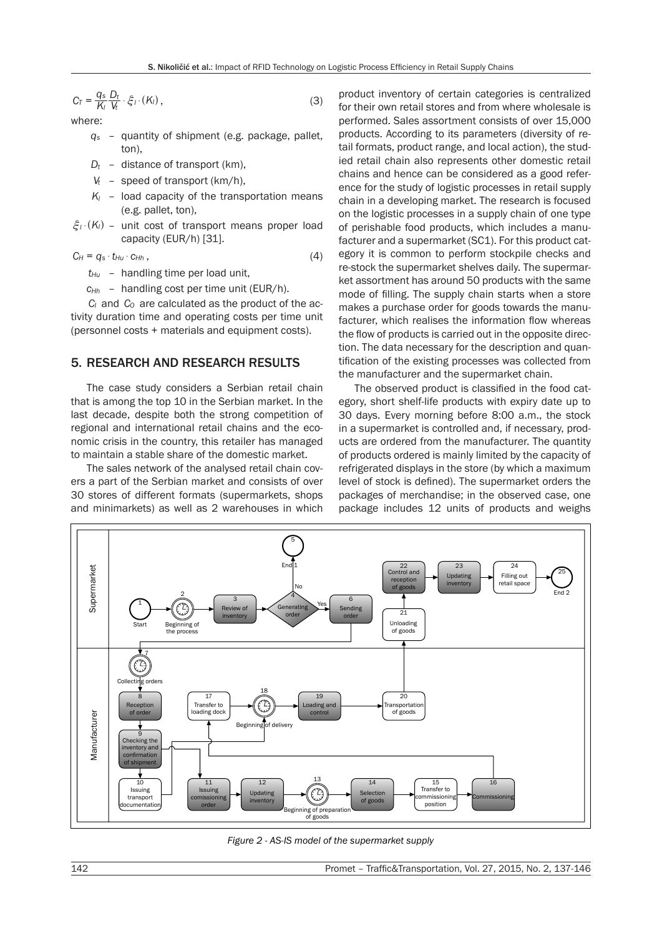$$
C_T = \frac{q_s}{K_l} \frac{D_t}{V_t} \cdot \xi_l \cdot (K_l), \qquad (3)
$$

where:

- *qs* quantity of shipment (e.g. package, pallet, ton),
- *Dt* distance of transport (km),
- *Vt* speed of transport (km/h),
- $K_l$  load capacity of the transportation means (e.g. pallet, ton),
- $\xi_l$  ( $K_l$ ) unit cost of transport means proper load capacity (EUR/h) [31].

 $C_H = q_s \cdot t_{Hu} \cdot c_{Hh}$ , (4)

- *tHu* handling time per load unit,
- *cHh* handling cost per time unit (EUR/h).

*C<sub>I</sub>* and *C*<sub>O</sub> are calculated as the product of the activity duration time and operating costs per time unit (personnel costs + materials and equipment costs).

#### 5. RESEARCH AND RESEARCH RESULTS

The case study considers a Serbian retail chain that is among the top 10 in the Serbian market. In the last decade, despite both the strong competition of regional and international retail chains and the economic crisis in the country, this retailer has managed to maintain a stable share of the domestic market.

The sales network of the analysed retail chain covers a part of the Serbian market and consists of over 30 stores of different formats (supermarkets, shops and minimarkets) as well as 2 warehouses in which

product inventory of certain categories is centralized for their own retail stores and from where wholesale is performed. Sales assortment consists of over 15,000 products. According to its parameters (diversity of retail formats, product range, and local action), the studied retail chain also represents other domestic retail chains and hence can be considered as a good reference for the study of logistic processes in retail supply chain in a developing market. The research is focused on the logistic processes in a supply chain of one type of perishable food products, which includes a manufacturer and a supermarket (SC1). For this product category it is common to perform stockpile checks and re-stock the supermarket shelves daily. The supermarket assortment has around 50 products with the same mode of filling. The supply chain starts when a store makes a purchase order for goods towards the manufacturer, which realises the information flow whereas the flow of products is carried out in the opposite direction. The data necessary for the description and quantification of the existing processes was collected from the manufacturer and the supermarket chain.

The observed product is classified in the food category, short shelf-life products with expiry date up to 30 days. Every morning before 8:00 a.m., the stock in a supermarket is controlled and, if necessary, products are ordered from the manufacturer. The quantity of products ordered is mainly limited by the capacity of refrigerated displays in the store (by which a maximum level of stock is defined). The supermarket orders the packages of merchandise; in the observed case, one package includes 12 units of products and weighs



*Figure 2 - AS-IS model of the supermarket supply*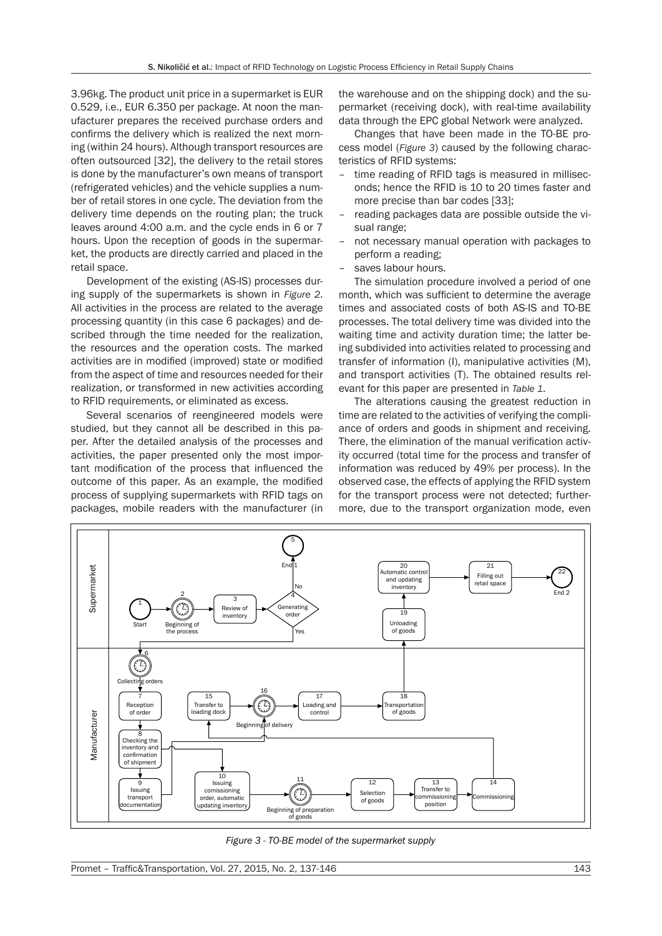3.96kg. The product unit price in a supermarket is EUR 0.529, i.e., EUR 6.350 per package. At noon the manufacturer prepares the received purchase orders and confirms the delivery which is realized the next morning (within 24 hours). Although transport resources are often outsourced [32], the delivery to the retail stores is done by the manufacturer's own means of transport (refrigerated vehicles) and the vehicle supplies a number of retail stores in one cycle. The deviation from the delivery time depends on the routing plan; the truck leaves around 4:00 a.m. and the cycle ends in 6 or 7 hours. Upon the reception of goods in the supermarket, the products are directly carried and placed in the retail space.

Development of the existing (AS-IS) processes during supply of the supermarkets is shown in *Figure 2*. All activities in the process are related to the average processing quantity (in this case 6 packages) and described through the time needed for the realization, the resources and the operation costs. The marked activities are in modified (improved) state or modified from the aspect of time and resources needed for their realization, or transformed in new activities according to RFID requirements, or eliminated as excess.

Several scenarios of reengineered models were studied, but they cannot all be described in this paper. After the detailed analysis of the processes and activities, the paper presented only the most important modification of the process that influenced the outcome of this paper. As an example, the modified process of supplying supermarkets with RFID tags on packages, mobile readers with the manufacturer (in

the warehouse and on the shipping dock) and the supermarket (receiving dock), with real-time availability data through the EPC global Network were analyzed.

Changes that have been made in the TO-BE process model (*Figure 3*) caused by the following characteristics of RFID systems:

- time reading of RFID tags is measured in milliseconds; hence the RFID is 10 to 20 times faster and more precise than bar codes [33];
- reading packages data are possible outside the visual range;
- not necessary manual operation with packages to perform a reading;
- saves labour hours.

The simulation procedure involved a period of one month, which was sufficient to determine the average times and associated costs of both AS-IS and TO-BE processes. The total delivery time was divided into the waiting time and activity duration time; the latter being subdivided into activities related to processing and transfer of information (I), manipulative activities (M), and transport activities (T). The obtained results relevant for this paper are presented in *Table 1*.

The alterations causing the greatest reduction in time are related to the activities of verifying the compliance of orders and goods in shipment and receiving. There, the elimination of the manual verification activity occurred (total time for the process and transfer of information was reduced by 49% per process). In the observed case, the effects of applying the RFID system for the transport process were not detected; furthermore, due to the transport organization mode, even



*Figure 3 - TO-BE model of the supermarket supply*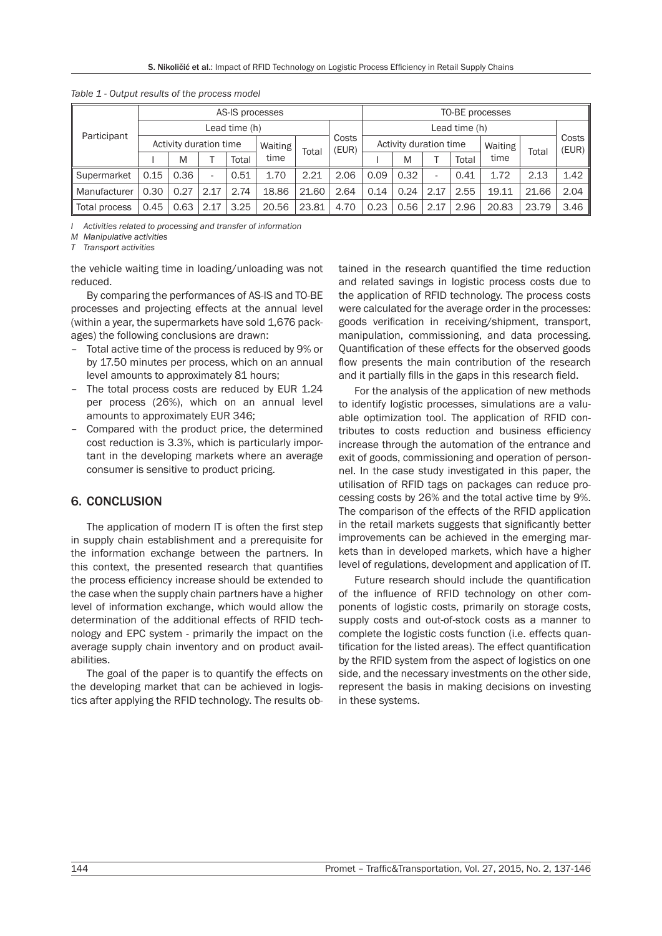| Participant   | AS-IS processes        |      |      |       |         |       |                | TO-BE processes        |      |      |         |       |                |      |
|---------------|------------------------|------|------|-------|---------|-------|----------------|------------------------|------|------|---------|-------|----------------|------|
|               | Lead time (h)          |      |      |       |         |       |                | Lead time (h)          |      |      |         |       |                |      |
|               | Activity duration time |      |      |       | Waiting |       | Costs<br>(EUR) | Activity duration time |      |      | Waiting | Total | Costs<br>(EUR) |      |
|               |                        | M    |      | Total | time    | Total |                |                        | M    |      | Total   | time  |                |      |
| Supermarket   | 0.15                   | 0.36 | -    | 0.51  | 1.70    | 2.21  | 2.06           | 0.09                   | 0.32 | ٠    | 0.41    | 1.72  | 2.13           | 1.42 |
| Manufacturer  | 0.30                   | 0.27 | 2.17 | 2.74  | 18.86   | 21.60 | 2.64           | 0.14                   | 0.24 | 2.17 | 2.55    | 19.11 | 21.66          | 2.04 |
| Total process | 0.45                   | 0.63 | 2.17 | 3.25  | 20.56   | 23.81 | 4.70           | 0.23                   | 0.56 | 2.17 | 2.96    | 20.83 | 23.79          | 3.46 |

*Table 1 - Output results of the process model*

*I Activities related to processing and transfer of information*

*M Manipulative activities*

*T Transport activities*

the vehicle waiting time in loading/unloading was not reduced.

By comparing the performances of AS-IS and TO-BE processes and projecting effects at the annual level (within a year, the supermarkets have sold 1,676 packages) the following conclusions are drawn:

- Total active time of the process is reduced by 9% or by 17.50 minutes per process, which on an annual level amounts to approximately 81 hours;
- The total process costs are reduced by EUR 1.24 per process (26%), which on an annual level amounts to approximately EUR 346;
- Compared with the product price, the determined cost reduction is 3.3%, which is particularly important in the developing markets where an average consumer is sensitive to product pricing.

## 6. CONCLUSION

The application of modern IT is often the first step in supply chain establishment and a prerequisite for the information exchange between the partners. In this context, the presented research that quantifies the process efficiency increase should be extended to the case when the supply chain partners have a higher level of information exchange, which would allow the determination of the additional effects of RFID technology and EPC system - primarily the impact on the average supply chain inventory and on product availabilities.

The goal of the paper is to quantify the effects on the developing market that can be achieved in logistics after applying the RFID technology. The results obtained in the research quantified the time reduction and related savings in logistic process costs due to the application of RFID technology. The process costs were calculated for the average order in the processes: goods verification in receiving/shipment, transport, manipulation, commissioning, and data processing. Quantification of these effects for the observed goods flow presents the main contribution of the research and it partially fills in the gaps in this research field.

For the analysis of the application of new methods to identify logistic processes, simulations are a valuable optimization tool. The application of RFID contributes to costs reduction and business efficiency increase through the automation of the entrance and exit of goods, commissioning and operation of personnel. In the case study investigated in this paper, the utilisation of RFID tags on packages can reduce processing costs by 26% and the total active time by 9%. The comparison of the effects of the RFID application in the retail markets suggests that significantly better improvements can be achieved in the emerging markets than in developed markets, which have a higher level of regulations, development and application of IT.

Future research should include the quantification of the influence of RFID technology on other components of logistic costs, primarily on storage costs, supply costs and out-of-stock costs as a manner to complete the logistic costs function (i.e. effects quantification for the listed areas). The effect quantification by the RFID system from the aspect of logistics on one side, and the necessary investments on the other side, represent the basis in making decisions on investing in these systems.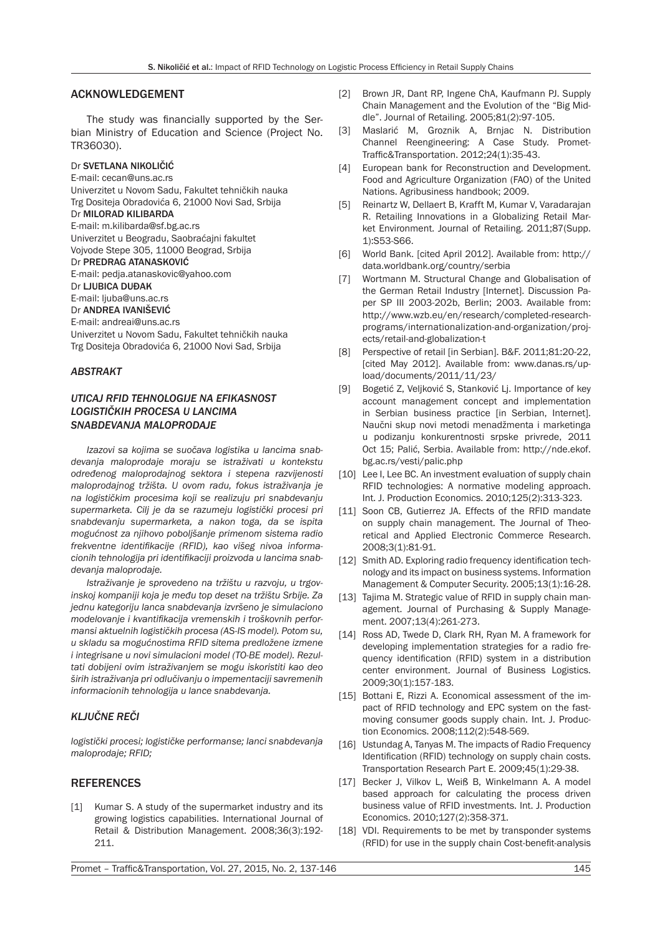#### ACKNOWLEDGEMENT

The study was financially supported by the Serbian Ministry of Education and Science (Project No. TR36030).

#### Dr SVETLANA NIKOLIČIĆ

E-mail: cecan@uns.ac.rs Univerzitet u Novom Sadu, Fakultet tehničkih nauka Trg Dositeja Obradovića 6, 21000 Novi Sad, Srbija Dr MILORAD KILIBARDA E-mail: m.kilibarda@sf.bg.ac.rs Univerzitet u Beogradu, Saobraćajni fakultet Vojvode Stepe 305, 11000 Beograd, Srbija Dr PREDRAG ATANASKOVIĆ E-mail: pedja.atanaskovic@yahoo.com Dr LJUBICA DUĐAK E-mail: ljuba@uns.ac.rs Dr ANDREA IVANIŠEVIĆ E-mail: andreai@uns.ac.rs

Univerzitet u Novom Sadu, Fakultet tehničkih nauka Trg Dositeja Obradovića 6, 21000 Novi Sad, Srbija

#### *ABSTRAKT*

#### *UTICAJ RFID TEHNOLOGIJE NA EFIKASNOST LOGISTIČKIH PROCESA U LANCIMA SNABDEVANJA MALOPRODAJE*

*Izazovi sa kojima se suočava logistika u lancima snabdevanja maloprodaje moraju se istraživati u kontekstu određenog maloprodajnog sektora i stepena razvijenosti maloprodajnog tržišta. U ovom radu, fokus istraživanja je na logističkim procesima koji se realizuju pri snabdevanju supermarketa. Cilj je da se razumeju logistički procesi pri snabdevanju supermarketa, a nakon toga, da se ispita mogućnost za njihovo poboljšanje primenom sistema radio frekventne identifikacije (RFID), kao višeg nivoa informacionih tehnologija pri identifikaciji proizvoda u lancima snabdevanja maloprodaje.*

*Istraživanje je sprovedeno na tržištu u razvoju, u trgovinskoj kompaniji koja je među top deset na tržištu Srbije. Za jednu kategoriju lanca snabdevanja izvršeno je simulaciono modelovanje i kvantifikacija vremenskih i troškovnih performansi aktuelnih logističkih procesa (AS-IS model). Potom su, u skladu sa mogućnostima RFID sitema predložene izmene i integrisane u novi simulacioni model (TO-BE model). Rezultati dobijeni ovim istraživanjem se mogu iskoristiti kao deo širih istraživanja pri odlučivanju o impementaciji savremenih informacionih tehnologija u lance snabdevanja.*

#### *KLJUČNE REČI*

*logistički procesi; logističke performanse; lanci snabdevanja maloprodaje; RFID;*

#### **REFERENCES**

[1] Kumar S. A study of the supermarket industry and its growing logistics capabilities. International Journal of Retail & Distribution Management. 2008;36(3):192- 211.

- [2] Brown JR, Dant RP, Ingene ChA, Kaufmann PJ. Supply Chain Management and the Evolution of the "Big Middle". Journal of Retailing. 2005;81(2):97-105.
- [3] Maslarić M, Groznik A, Brnjac N. Distribution Channel Reengineering: A Case Study. Promet-Traffic&Transportation. 2012;24(1):35-43.
- [4] European bank for Reconstruction and Development. Food and Agriculture Organization (FAO) of the United Nations. Agribusiness handbook; 2009.
- [5] Reinartz W, Dellaert B, Krafft M, Kumar V, Varadarajan R. Retailing Innovations in a Globalizing Retail Market Environment. Journal of Retailing. 2011;87(Supp. 1):S53-S66.
- [6] World Bank. [cited April 2012]. Available from: http:// data.worldbank.org/country/serbia
- [7] Wortmann M. Structural Change and Globalisation of the German Retail Industry [Internet]. Discussion Paper SP III 2003-202b, Berlin; 2003. Available from: http://www.wzb.eu/en/research/completed-researchprograms/internationalization-and-organization/projects/retail-and-globalization-t
- [8] Perspective of retail [in Serbian]. B&F. 2011:81:20-22. [cited May 2012]. Available from: www.danas.rs/upload/documents/2011/11/23/
- [9] Bogetić Z, Veljković S, Stanković Lj. Importance of key account management concept and implementation in Serbian business practice [in Serbian, Internet]. Naučni skup novi metodi menadžmenta i marketinga u podizanju konkurentnosti srpske privrede, 2011 Oct 15; Palić, Serbia. Available from: http://nde.ekof. bg.ac.rs/vesti/palic.php
- [10] Lee I, Lee BC. An investment evaluation of supply chain RFID technologies: A normative modeling approach. Int. J. Production Economics. 2010;125(2):313-323.
- [11] Soon CB, Gutierrez JA. Effects of the RFID mandate on supply chain management. The Journal of Theoretical and Applied Electronic Commerce Research. 2008;3(1):81-91.
- [12] Smith AD. Exploring radio frequency identification technology and its impact on business systems. Information Management & Computer Security. 2005;13(1):16-28.
- [13] Tajima M. Strategic value of RFID in supply chain management. Journal of Purchasing & Supply Management. 2007;13(4):261-273.
- [14] Ross AD, Twede D, Clark RH, Ryan M. A framework for developing implementation strategies for a radio frequency identification (RFID) system in a distribution center environment. Journal of Business Logistics. 2009;30(1):157-183.
- [15] Bottani E, Rizzi A. Economical assessment of the impact of RFID technology and EPC system on the fastmoving consumer goods supply chain. Int. J. Production Economics. 2008;112(2):548-569.
- [16] Ustundag A, Tanyas M. The impacts of Radio Frequency Identification (RFID) technology on supply chain costs. Transportation Research Part E. 2009;45(1):29-38.
- [17] Becker J, Vilkov L, Weiß B, Winkelmann A. A model based approach for calculating the process driven business value of RFID investments. Int. J. Production Economics. 2010;127(2):358-371.
- [18] VDI. Requirements to be met by transponder systems (RFID) for use in the supply chain Cost-benefit-analysis